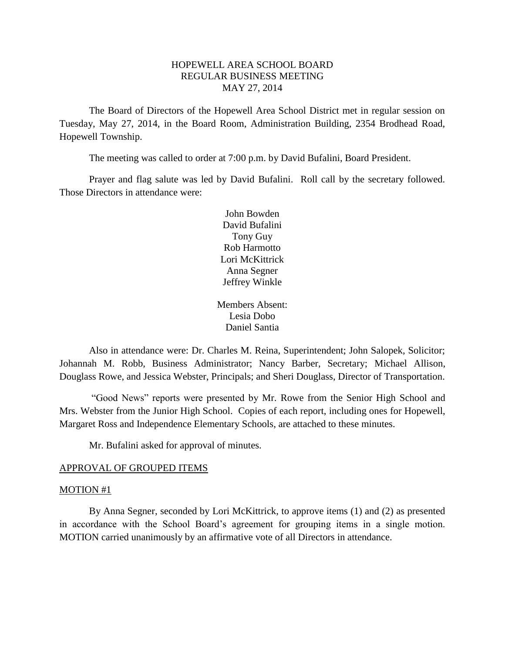# HOPEWELL AREA SCHOOL BOARD REGULAR BUSINESS MEETING MAY 27, 2014

The Board of Directors of the Hopewell Area School District met in regular session on Tuesday, May 27, 2014, in the Board Room, Administration Building, 2354 Brodhead Road, Hopewell Township.

The meeting was called to order at 7:00 p.m. by David Bufalini, Board President.

Prayer and flag salute was led by David Bufalini. Roll call by the secretary followed. Those Directors in attendance were:

> John Bowden David Bufalini Tony Guy Rob Harmotto Lori McKittrick Anna Segner Jeffrey Winkle

Members Absent: Lesia Dobo Daniel Santia

Also in attendance were: Dr. Charles M. Reina, Superintendent; John Salopek, Solicitor; Johannah M. Robb, Business Administrator; Nancy Barber, Secretary; Michael Allison, Douglass Rowe, and Jessica Webster, Principals; and Sheri Douglass, Director of Transportation.

"Good News" reports were presented by Mr. Rowe from the Senior High School and Mrs. Webster from the Junior High School. Copies of each report, including ones for Hopewell, Margaret Ross and Independence Elementary Schools, are attached to these minutes.

Mr. Bufalini asked for approval of minutes.

#### APPROVAL OF GROUPED ITEMS

#### MOTION #1

By Anna Segner, seconded by Lori McKittrick, to approve items (1) and (2) as presented in accordance with the School Board's agreement for grouping items in a single motion. MOTION carried unanimously by an affirmative vote of all Directors in attendance.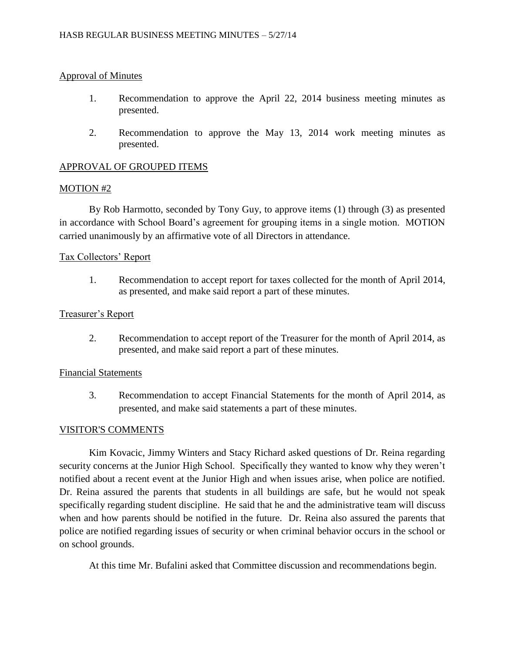# Approval of Minutes

- 1. Recommendation to approve the April 22, 2014 business meeting minutes as presented.
- 2. Recommendation to approve the May 13, 2014 work meeting minutes as presented.

# APPROVAL OF GROUPED ITEMS

### MOTION #2

By Rob Harmotto, seconded by Tony Guy, to approve items (1) through (3) as presented in accordance with School Board's agreement for grouping items in a single motion. MOTION carried unanimously by an affirmative vote of all Directors in attendance.

# Tax Collectors' Report

1. Recommendation to accept report for taxes collected for the month of April 2014, as presented, and make said report a part of these minutes.

### Treasurer's Report

2. Recommendation to accept report of the Treasurer for the month of April 2014, as presented, and make said report a part of these minutes.

### Financial Statements

3. Recommendation to accept Financial Statements for the month of April 2014, as presented, and make said statements a part of these minutes.

# VISITOR'S COMMENTS

Kim Kovacic, Jimmy Winters and Stacy Richard asked questions of Dr. Reina regarding security concerns at the Junior High School. Specifically they wanted to know why they weren't notified about a recent event at the Junior High and when issues arise, when police are notified. Dr. Reina assured the parents that students in all buildings are safe, but he would not speak specifically regarding student discipline. He said that he and the administrative team will discuss when and how parents should be notified in the future. Dr. Reina also assured the parents that police are notified regarding issues of security or when criminal behavior occurs in the school or on school grounds.

At this time Mr. Bufalini asked that Committee discussion and recommendations begin.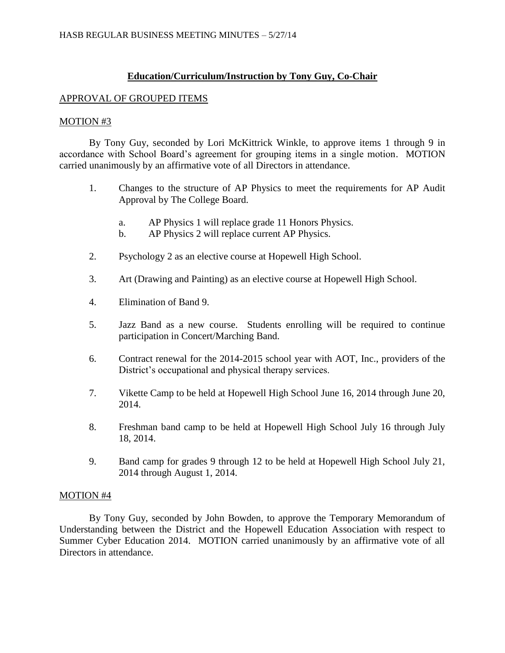# **Education/Curriculum/Instruction by Tony Guy, Co-Chair**

### APPROVAL OF GROUPED ITEMS

### MOTION #3

By Tony Guy, seconded by Lori McKittrick Winkle, to approve items 1 through 9 in accordance with School Board's agreement for grouping items in a single motion. MOTION carried unanimously by an affirmative vote of all Directors in attendance.

- 1. Changes to the structure of AP Physics to meet the requirements for AP Audit Approval by The College Board.
	- a. AP Physics 1 will replace grade 11 Honors Physics.
	- b. AP Physics 2 will replace current AP Physics.
- 2. Psychology 2 as an elective course at Hopewell High School.
- 3. Art (Drawing and Painting) as an elective course at Hopewell High School.
- 4. Elimination of Band 9.
- 5. Jazz Band as a new course. Students enrolling will be required to continue participation in Concert/Marching Band.
- 6. Contract renewal for the 2014-2015 school year with AOT, Inc., providers of the District's occupational and physical therapy services.
- 7. Vikette Camp to be held at Hopewell High School June 16, 2014 through June 20, 2014.
- 8. Freshman band camp to be held at Hopewell High School July 16 through July 18, 2014.
- 9. Band camp for grades 9 through 12 to be held at Hopewell High School July 21, 2014 through August 1, 2014.

# MOTION #4

By Tony Guy, seconded by John Bowden, to approve the Temporary Memorandum of Understanding between the District and the Hopewell Education Association with respect to Summer Cyber Education 2014. MOTION carried unanimously by an affirmative vote of all Directors in attendance.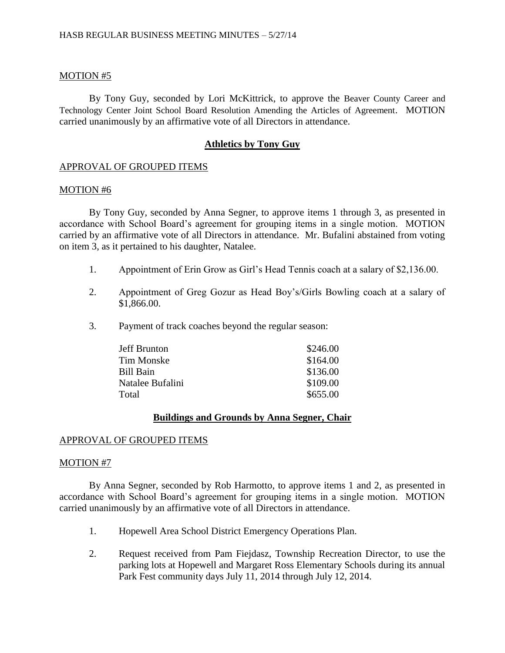### MOTION #5

By Tony Guy, seconded by Lori McKittrick, to approve the Beaver County Career and Technology Center Joint School Board Resolution Amending the Articles of Agreement. MOTION carried unanimously by an affirmative vote of all Directors in attendance.

### **Athletics by Tony Guy**

### APPROVAL OF GROUPED ITEMS

#### MOTION #6

By Tony Guy, seconded by Anna Segner, to approve items 1 through 3, as presented in accordance with School Board's agreement for grouping items in a single motion. MOTION carried by an affirmative vote of all Directors in attendance. Mr. Bufalini abstained from voting on item 3, as it pertained to his daughter, Natalee.

- 1. Appointment of Erin Grow as Girl's Head Tennis coach at a salary of \$2,136.00.
- 2. Appointment of Greg Gozur as Head Boy's/Girls Bowling coach at a salary of \$1,866.00.
- 3. Payment of track coaches beyond the regular season:

| Jeff Brunton     | \$246.00 |
|------------------|----------|
| Tim Monske       | \$164.00 |
| Bill Bain        | \$136.00 |
| Natalee Bufalini | \$109.00 |
| Total            | \$655.00 |

# **Buildings and Grounds by Anna Segner, Chair**

### APPROVAL OF GROUPED ITEMS

#### MOTION #7

By Anna Segner, seconded by Rob Harmotto, to approve items 1 and 2, as presented in accordance with School Board's agreement for grouping items in a single motion. MOTION carried unanimously by an affirmative vote of all Directors in attendance.

- 1. Hopewell Area School District Emergency Operations Plan.
- 2. Request received from Pam Fiejdasz, Township Recreation Director, to use the parking lots at Hopewell and Margaret Ross Elementary Schools during its annual Park Fest community days July 11, 2014 through July 12, 2014.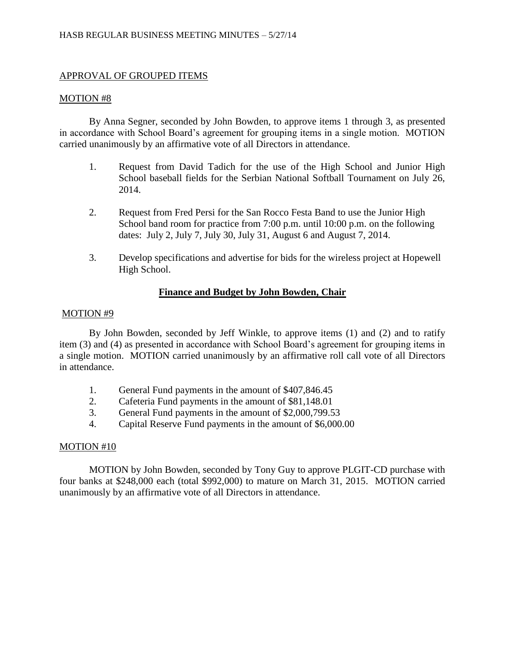# APPROVAL OF GROUPED ITEMS

### MOTION #8

By Anna Segner, seconded by John Bowden, to approve items 1 through 3, as presented in accordance with School Board's agreement for grouping items in a single motion. MOTION carried unanimously by an affirmative vote of all Directors in attendance.

- 1. Request from David Tadich for the use of the High School and Junior High School baseball fields for the Serbian National Softball Tournament on July 26, 2014.
- 2. Request from Fred Persi for the San Rocco Festa Band to use the Junior High School band room for practice from 7:00 p.m. until 10:00 p.m. on the following dates: July 2, July 7, July 30, July 31, August 6 and August 7, 2014.
- 3. Develop specifications and advertise for bids for the wireless project at Hopewell High School.

# **Finance and Budget by John Bowden, Chair**

### MOTION #9

By John Bowden, seconded by Jeff Winkle, to approve items (1) and (2) and to ratify item (3) and (4) as presented in accordance with School Board's agreement for grouping items in a single motion. MOTION carried unanimously by an affirmative roll call vote of all Directors in attendance.

- 1. General Fund payments in the amount of \$407,846.45
- 2. Cafeteria Fund payments in the amount of \$81,148.01
- 3. General Fund payments in the amount of \$2,000,799.53
- 4. Capital Reserve Fund payments in the amount of \$6,000.00

# MOTION #10

MOTION by John Bowden, seconded by Tony Guy to approve PLGIT-CD purchase with four banks at \$248,000 each (total \$992,000) to mature on March 31, 2015. MOTION carried unanimously by an affirmative vote of all Directors in attendance.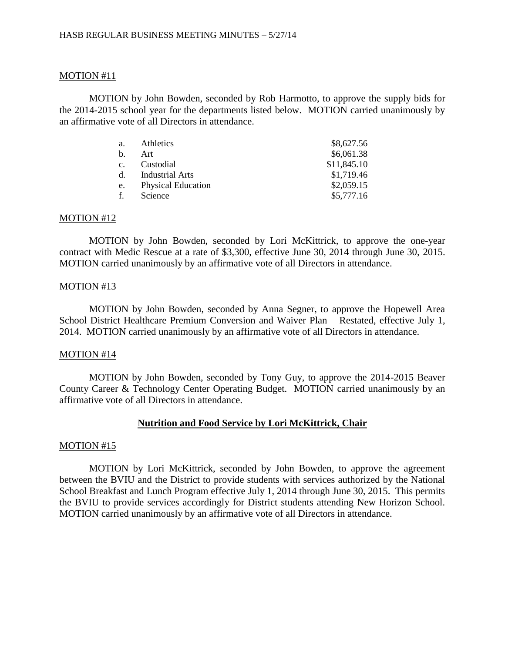### MOTION #11

MOTION by John Bowden, seconded by Rob Harmotto, to approve the supply bids for the 2014-2015 school year for the departments listed below. MOTION carried unanimously by an affirmative vote of all Directors in attendance.

| a.             | Athletics                 | \$8,627.56  |
|----------------|---------------------------|-------------|
| $\mathbf{b}$ . | Art                       | \$6,061.38  |
| $c_{\cdot}$    | Custodial                 | \$11,845.10 |
|                | d. Industrial Arts        | \$1,719.46  |
| e.             | <b>Physical Education</b> | \$2,059.15  |
| f.             | Science                   | \$5,777.16  |

#### MOTION #12

MOTION by John Bowden, seconded by Lori McKittrick, to approve the one-year contract with Medic Rescue at a rate of \$3,300, effective June 30, 2014 through June 30, 2015. MOTION carried unanimously by an affirmative vote of all Directors in attendance.

#### MOTION #13

MOTION by John Bowden, seconded by Anna Segner, to approve the Hopewell Area School District Healthcare Premium Conversion and Waiver Plan – Restated, effective July 1, 2014. MOTION carried unanimously by an affirmative vote of all Directors in attendance.

#### MOTION #14

MOTION by John Bowden, seconded by Tony Guy, to approve the 2014-2015 Beaver County Career & Technology Center Operating Budget. MOTION carried unanimously by an affirmative vote of all Directors in attendance.

### **Nutrition and Food Service by Lori McKittrick, Chair**

#### MOTION #15

MOTION by Lori McKittrick, seconded by John Bowden, to approve the agreement between the BVIU and the District to provide students with services authorized by the National School Breakfast and Lunch Program effective July 1, 2014 through June 30, 2015. This permits the BVIU to provide services accordingly for District students attending New Horizon School. MOTION carried unanimously by an affirmative vote of all Directors in attendance.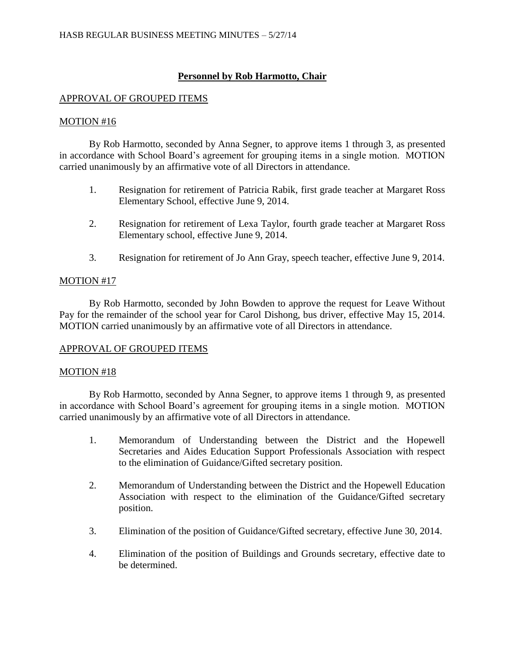# **Personnel by Rob Harmotto, Chair**

# APPROVAL OF GROUPED ITEMS

# MOTION #16

By Rob Harmotto, seconded by Anna Segner, to approve items 1 through 3, as presented in accordance with School Board's agreement for grouping items in a single motion. MOTION carried unanimously by an affirmative vote of all Directors in attendance.

- 1. Resignation for retirement of Patricia Rabik, first grade teacher at Margaret Ross Elementary School, effective June 9, 2014.
- 2. Resignation for retirement of Lexa Taylor, fourth grade teacher at Margaret Ross Elementary school, effective June 9, 2014.
- 3. Resignation for retirement of Jo Ann Gray, speech teacher, effective June 9, 2014.

# MOTION #17

By Rob Harmotto, seconded by John Bowden to approve the request for Leave Without Pay for the remainder of the school year for Carol Dishong, bus driver, effective May 15, 2014. MOTION carried unanimously by an affirmative vote of all Directors in attendance.

# APPROVAL OF GROUPED ITEMS

# MOTION #18

By Rob Harmotto, seconded by Anna Segner, to approve items 1 through 9, as presented in accordance with School Board's agreement for grouping items in a single motion. MOTION carried unanimously by an affirmative vote of all Directors in attendance.

- 1. Memorandum of Understanding between the District and the Hopewell Secretaries and Aides Education Support Professionals Association with respect to the elimination of Guidance/Gifted secretary position.
- 2. Memorandum of Understanding between the District and the Hopewell Education Association with respect to the elimination of the Guidance/Gifted secretary position.
- 3. Elimination of the position of Guidance/Gifted secretary, effective June 30, 2014.
- 4. Elimination of the position of Buildings and Grounds secretary, effective date to be determined.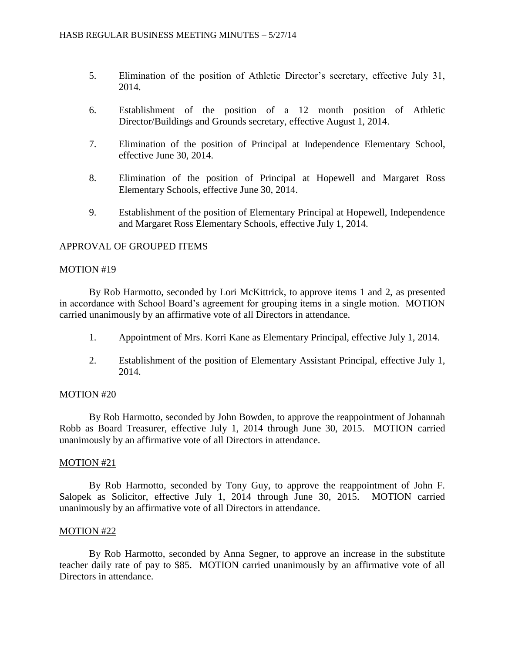- 5. Elimination of the position of Athletic Director's secretary, effective July 31, 2014.
- 6. Establishment of the position of a 12 month position of Athletic Director/Buildings and Grounds secretary, effective August 1, 2014.
- 7. Elimination of the position of Principal at Independence Elementary School, effective June 30, 2014.
- 8. Elimination of the position of Principal at Hopewell and Margaret Ross Elementary Schools, effective June 30, 2014.
- 9. Establishment of the position of Elementary Principal at Hopewell, Independence and Margaret Ross Elementary Schools, effective July 1, 2014.

### APPROVAL OF GROUPED ITEMS

### MOTION #19

By Rob Harmotto, seconded by Lori McKittrick, to approve items 1 and 2, as presented in accordance with School Board's agreement for grouping items in a single motion. MOTION carried unanimously by an affirmative vote of all Directors in attendance.

- 1. Appointment of Mrs. Korri Kane as Elementary Principal, effective July 1, 2014.
- 2. Establishment of the position of Elementary Assistant Principal, effective July 1, 2014.

### MOTION #20

By Rob Harmotto, seconded by John Bowden, to approve the reappointment of Johannah Robb as Board Treasurer, effective July 1, 2014 through June 30, 2015. MOTION carried unanimously by an affirmative vote of all Directors in attendance.

### MOTION #21

By Rob Harmotto, seconded by Tony Guy, to approve the reappointment of John F. Salopek as Solicitor, effective July 1, 2014 through June 30, 2015. MOTION carried unanimously by an affirmative vote of all Directors in attendance.

### MOTION #22

By Rob Harmotto, seconded by Anna Segner, to approve an increase in the substitute teacher daily rate of pay to \$85. MOTION carried unanimously by an affirmative vote of all Directors in attendance.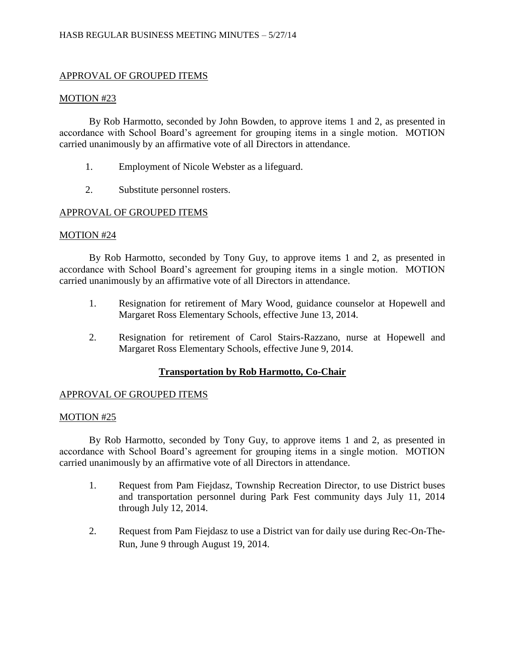# APPROVAL OF GROUPED ITEMS

### MOTION #23

By Rob Harmotto, seconded by John Bowden, to approve items 1 and 2, as presented in accordance with School Board's agreement for grouping items in a single motion. MOTION carried unanimously by an affirmative vote of all Directors in attendance.

- 1. Employment of Nicole Webster as a lifeguard.
- 2. Substitute personnel rosters.

# APPROVAL OF GROUPED ITEMS

### MOTION #24

By Rob Harmotto, seconded by Tony Guy, to approve items 1 and 2, as presented in accordance with School Board's agreement for grouping items in a single motion. MOTION carried unanimously by an affirmative vote of all Directors in attendance.

- 1. Resignation for retirement of Mary Wood, guidance counselor at Hopewell and Margaret Ross Elementary Schools, effective June 13, 2014.
- 2. Resignation for retirement of Carol Stairs-Razzano, nurse at Hopewell and Margaret Ross Elementary Schools, effective June 9, 2014.

# **Transportation by Rob Harmotto, Co-Chair**

# APPROVAL OF GROUPED ITEMS

# MOTION #25

By Rob Harmotto, seconded by Tony Guy, to approve items 1 and 2, as presented in accordance with School Board's agreement for grouping items in a single motion. MOTION carried unanimously by an affirmative vote of all Directors in attendance.

- 1. Request from Pam Fiejdasz, Township Recreation Director, to use District buses and transportation personnel during Park Fest community days July 11, 2014 through July 12, 2014.
- 2. Request from Pam Fiejdasz to use a District van for daily use during Rec-On-The-Run, June 9 through August 19, 2014.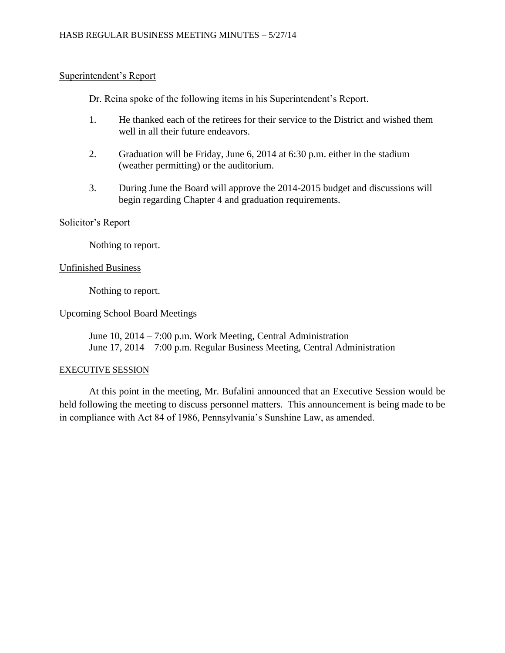# Superintendent's Report

Dr. Reina spoke of the following items in his Superintendent's Report.

- 1. He thanked each of the retirees for their service to the District and wished them well in all their future endeavors.
- 2. Graduation will be Friday, June 6, 2014 at 6:30 p.m. either in the stadium (weather permitting) or the auditorium.
- 3. During June the Board will approve the 2014-2015 budget and discussions will begin regarding Chapter 4 and graduation requirements.

# Solicitor's Report

Nothing to report.

# Unfinished Business

Nothing to report.

# Upcoming School Board Meetings

June 10, 2014 – 7:00 p.m. Work Meeting, Central Administration June 17, 2014 – 7:00 p.m. Regular Business Meeting, Central Administration

### EXECUTIVE SESSION

At this point in the meeting, Mr. Bufalini announced that an Executive Session would be held following the meeting to discuss personnel matters. This announcement is being made to be in compliance with Act 84 of 1986, Pennsylvania's Sunshine Law, as amended.